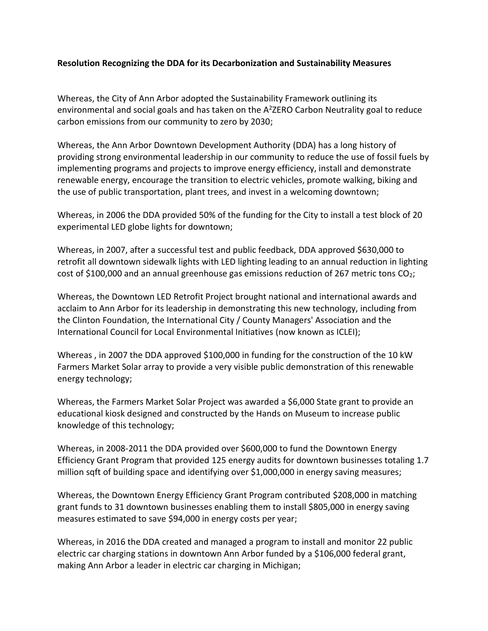## **Resolution Recognizing the DDA for its Decarbonization and Sustainability Measures**

Whereas, the City of Ann Arbor adopted the Sustainability Framework outlining its environmental and social goals and has taken on the  $A^2$ ZERO Carbon Neutrality goal to reduce carbon emissions from our community to zero by 2030;

Whereas, the Ann Arbor Downtown Development Authority (DDA) has a long history of providing strong environmental leadership in our community to reduce the use of fossil fuels by implementing programs and projects to improve energy efficiency, install and demonstrate renewable energy, encourage the transition to electric vehicles, promote walking, biking and the use of public transportation, plant trees, and invest in a welcoming downtown;

Whereas, in 2006 the DDA provided 50% of the funding for the City to install a test block of 20 experimental LED globe lights for downtown;

Whereas, in 2007, after a successful test and public feedback, DDA approved \$630,000 to retrofit all downtown sidewalk lights with LED lighting leading to an annual reduction in lighting cost of \$100,000 and an annual greenhouse gas emissions reduction of 267 metric tons  $CO<sub>2</sub>$ ;

Whereas, the Downtown LED Retrofit Project brought national and international awards and acclaim to Ann Arbor for its leadership in demonstrating this new technology, including from the Clinton Foundation, the International City / County Managers' Association and the International Council for Local Environmental Initiatives (now known as ICLEI);

Whereas , in 2007 the DDA approved \$100,000 in funding for the construction of the 10 kW Farmers Market Solar array to provide a very visible public demonstration of this renewable energy technology;

Whereas, the Farmers Market Solar Project was awarded a \$6,000 State grant to provide an educational kiosk designed and constructed by the Hands on Museum to increase public knowledge of this technology;

Whereas, in 2008-2011 the DDA provided over \$600,000 to fund the Downtown Energy Efficiency Grant Program that provided 125 energy audits for downtown businesses totaling 1.7 million sqft of building space and identifying over \$1,000,000 in energy saving measures;

Whereas, the Downtown Energy Efficiency Grant Program contributed \$208,000 in matching grant funds to 31 downtown businesses enabling them to install \$805,000 in energy saving measures estimated to save \$94,000 in energy costs per year;

Whereas, in 2016 the DDA created and managed a program to install and monitor 22 public electric car charging stations in downtown Ann Arbor funded by a \$106,000 federal grant, making Ann Arbor a leader in electric car charging in Michigan;